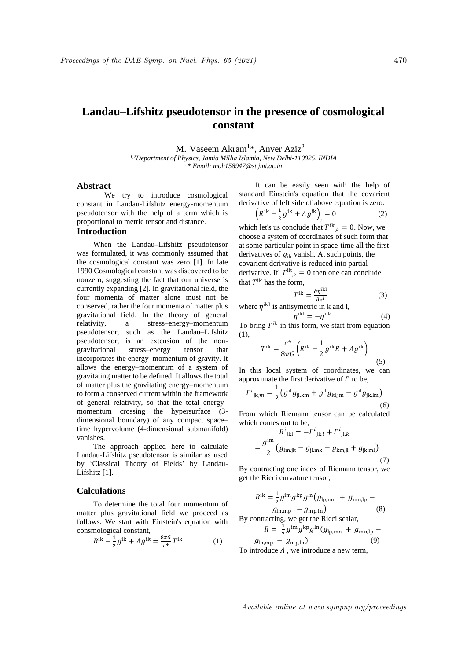# **Landau–Lifshitz pseudotensor in the presence of cosmological constant**

M. Vaseem Akram<sup>1\*</sup>, Anver Aziz<sup>2</sup> *1,2Department of Physics, Jamia Millia Islamia, New Delhi-110025, INDIA . \* Email: moh158947@st.jmi.ac.in*

# **Abstract**

We try to introduce cosmological constant in Landau-Lifshitz energy-momentum pseudotensor with the help of a term which is proportional to metric tensor and distance.

### **Introduction**

When the Landau–Lifshitz pseudotensor was formulated, it was commonly assumed that the cosmological constant was zero [1]. In late 1990 Cosmological constant was discovered to be nonzero, suggesting the fact that our universe is currently expanding [2]. In gravitational field, the four momenta of matter alone must not be conserved, rather the four momenta of matter plus gravitational field. In the theory of general relativity, a stress–energy–momentum pseudotensor, such as the Landau–Lifshitz pseudotensor, is an extension of the nongravitational stress–energy tensor that incorporates the energy–momentum of gravity. It allows the energy–momentum of a system of gravitating matter to be defined. It allows the total of matter plus the gravitating energy–momentum to form a conserved current within the framework of general relativity, so that the total energy– momentum crossing the hypersurface (3 dimensional boundary) of any compact space– time hypervolume (4-dimensional submanifold) vanishes.

The approach applied here to calculate Landau-Lifshitz pseudotensor is similar as used by 'Classical Theory of Fields' by Landau-Lifshitz [1].

#### **Calculations**

To determine the total four momentum of matter plus gravitational field we proceed as follows. We start with Einstein's equation with consmological constant,

$$
R^{ik} - \frac{1}{2}g^{ik} + \Lambda g^{ik} = \frac{8\pi G}{c^4}T^{ik}
$$
 (1)

It can be easily seen with the help of standard Einstein's equation that the covarient derivative of left side of above equation is zero.

$$
\left(R^{ik} - \frac{1}{2}g^{ik} + \Lambda g^{ik}\right)_j = 0\tag{2}
$$

which let's us conclude that  $T^{ik}_{,k} = 0$ . Now, we choose a system of coordinates of such form that at some particular point in space-time all the first derivatives of  $g_{ik}$  vanish. At such points, the covarient derivative is reduced into partial derivative. If  $T^{ik}_{,k} = 0$  then one can conclude that  $T^{ik}$  has the form,

$$
T^{ik} = \frac{\partial \eta^{ikl}}{\partial x^l} \tag{3}
$$

 $(4)$ 

where  $\eta^{ikl}$  is antisymetric in k and l,  $\eta^{\rm ikl} = -\eta^{\rm ilk}$ 

To bring  $T^{ik}$  in this form, we start from equation (1),

$$
T^{ik} = \frac{c^4}{8\pi G} \left( R^{ik} - \frac{1}{2} g^{ik} R + \Lambda g^{ik} \right) \tag{5}
$$

In this local system of coordinates, we can approximate the first derivative of  $\Gamma$  to be,

$$
\Gamma^{i}_{\ jk,m} = \frac{1}{2} \left( g^{i l} g_{j l, k m} + g^{i l} g_{k l, j m} - g^{i l} g_{j k, l m} \right)
$$
\n(6)

From which Riemann tensor can be calculated which comes out to be,

$$
R^{i}_{jkl} = -\Gamma^{i}_{jk,l} + \Gamma^{i}_{jl,k}
$$

$$
= \frac{g^{im}}{2} (g_{lm,jk} - g_{jl,mk} - g_{km,jl} + g_{jk,ml})
$$
(7)

By contracting one index of Riemann tensor, we get the Ricci curvature tensor,

$$
R^{ik} = \frac{1}{2} g^{im} g^{kp} g^{ln} (g_{lp,mn} + g_{mn,lp} - g_{mp,lm})
$$
\n(8)

By contracting, we get the Ricci scalar,

$$
R = \frac{1}{2} g^{\text{im}} g^{\text{kp}} g^{\text{ln}} (g_{\text{lp,mn}} + g_{\text{mn,lp}} - g_{\text{ln,mp}} - g_{\text{mp,ln}})
$$
(9)

To introduce  $\Lambda$ , we introduce a new term,

Available online at www.sympnp.org/proceedings